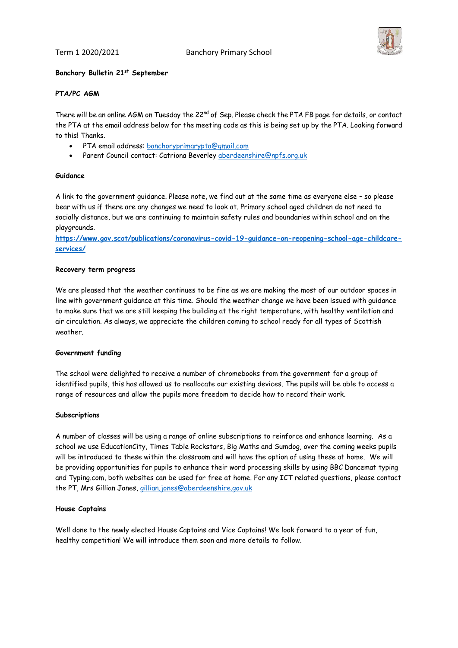Term 1 2020/2021 Banchory Primary School



## **Banchory Bulletin 21st September**

## **PTA/PC AGM**

There will be an online AGM on Tuesday the 22<sup>nd</sup> of Sep. Please check the PTA FB page for details, or contact the PTA at the email address below for the meeting code as this is being set up by the PTA. Looking forward to this! Thanks.

- PTA email address: [banchoryprimarypta@gmail.com](mailto:banchoryprimarypta@gmail.com)
- Parent Council contact: Catriona Beverley [aberdeenshire@npfs.org.uk](mailto:aberdeenshire@npfs.org.uk)

#### **Guidance**

A link to the government guidance. Please note, we find out at the same time as everyone else – so please bear with us if there are any changes we need to look at. Primary school aged children do not need to socially distance, but we are continuing to maintain safety rules and boundaries within school and on the playgrounds.

**[https://www.gov.scot/publications/coronavirus-covid-19-guidance-on-reopening-school-age-childcare](https://www.gov.scot/publications/coronavirus-covid-19-guidance-on-reopening-school-age-childcare-services/)[services/](https://www.gov.scot/publications/coronavirus-covid-19-guidance-on-reopening-school-age-childcare-services/)**

#### **Recovery term progress**

We are pleased that the weather continues to be fine as we are making the most of our outdoor spaces in line with government guidance at this time. Should the weather change we have been issued with guidance to make sure that we are still keeping the building at the right temperature, with healthy ventilation and air circulation. As always, we appreciate the children coming to school ready for all types of Scottish weather.

#### **Government funding**

The school were delighted to receive a number of chromebooks from the government for a group of identified pupils, this has allowed us to reallocate our existing devices. The pupils will be able to access a range of resources and allow the pupils more freedom to decide how to record their work.

#### **Subscriptions**

A number of classes will be using a range of online subscriptions to reinforce and enhance learning. As a school we use EducationCity, Times Table Rockstars, Big Maths and Sumdog, over the coming weeks pupils will be introduced to these within the classroom and will have the option of using these at home. We will be providing opportunities for pupils to enhance their word processing skills by using BBC Dancemat typing and Typing.com, both websites can be used for free at home. For any ICT related questions, please contact the PT, Mrs Gillian Jones, [gillian.jones@aberdeenshire.gov.uk](mailto:gillian.jones@aberdeenshire.gov.uk)

## **House Captains**

Well done to the newly elected House Captains and Vice Captains! We look forward to a year of fun, healthy competition! We will introduce them soon and more details to follow.